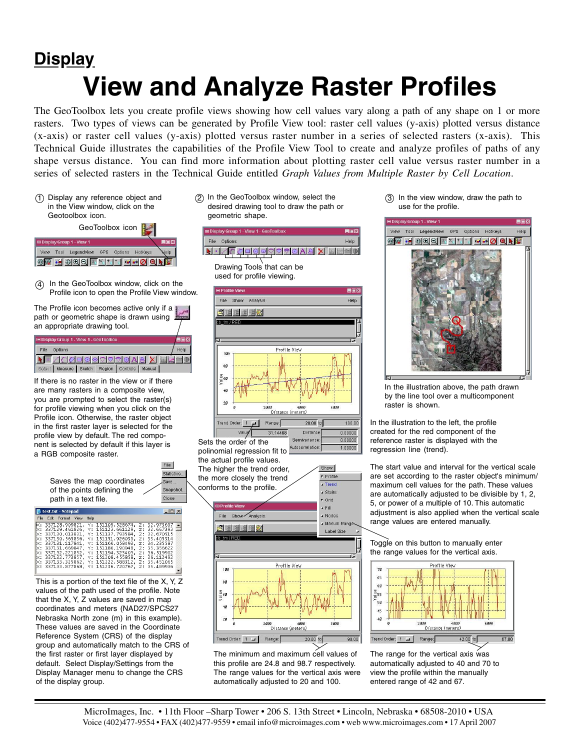## **View and Analyze Raster Profiles Display**

The GeoToolbox lets you create profile views showing how cell values vary along a path of any shape on 1 or more rasters. Two types of views can be generated by Profile View tool: raster cell values (y-axis) plotted versus distance (x-axis) or raster cell values (y-axis) plotted versus raster number in a series of selected rasters (x-axis). This Technical Guide illustrates the capabilities of the Profile View Tool to create and analyze profiles of paths of any shape versus distance. You can find more information about plotting raster cell value versus raster number in a series of selected rasters in the Technical Guide entitled *Graph Values from Multiple Raster by Cell Location*.

Display any reference object and 1 in the View window, click on the Geotoolbox icon.



In the GeoToolbox window, click on the 4 Profile icon to open the Profile View window.

The Profile icon becomes active only if a path or geometric shape is drawn using an appropriate drawing tool.

| <b>EDisplay Group 1 - View 1 - GeoToolbox</b> |                       |  |        |                   |  |  | HEM |
|-----------------------------------------------|-----------------------|--|--------|-------------------|--|--|-----|
| File                                          | Options               |  |        |                   |  |  |     |
|                                               | FZQQQ⊙QQQQN8XDL       |  |        |                   |  |  |     |
|                                               | Seleci Measure Sketch |  | Region | Controls   Manual |  |  |     |

If there is no raster in the view or if there are many rasters in a composite view, you are prompted to select the raster(s) for profile viewing when you click on the Profile icon. Otherwise, the raster object in the first raster layer is selected for the profile view by default. The red component is selected by default if this layer is a RGB composite raster.



This is a portion of the text file of the X, Y, Z values of the path used of the profile. Note that the X, Y, Z values are saved in map coordinates and meters (NAD27/SPCS27 Nebraska North zone (m) in this example). These values are saved in the Coordinate Reference System (CRS) of the display group and automatically match to the CRS of the first raster or first layer displayed by default. Select Display/Settings from the Display Manager menu to change the CRS of the display group.

2) In the GeoToolbox window, select the desired drawing tool to draw the path or geometric shape.





The minimum and maximum cell values of this profile are 24.8 and 98.7 respectively. The range values for the vertical axis were automatically adjusted to 20 and 100.

 $3)$  In the view window, draw the path to use for the profile.



In the illustration above, the path drawn by the line tool over a multicomponent raster is shown.

In the illustration to the left, the profile created for the red component of the reference raster is displayed with the regression line (trend).

The start value and interval for the vertical scale are set according to the raster object's minimum/ maximum cell values for the path. These values are automatically adjusted to be divisible by 1, 2, 5, or power of a multiple of 10. This automatic adjustment is also applied when the vertical scale range values are entered manually.

Toggle on this button to manually enter the range values for the vertical axis.



The range for the vertical axis was automatically adjusted to 40 and 70 to view the profile within the manually entered range of 42 and 67.